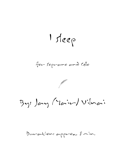By: Jay (Yair) Vilnai I Sleep for Soprano and Cello !

Duration: approx. 8 min.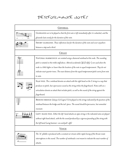## PERFORMANCE NOTES

| GENERAL      |                                                                                                                                                               |
|--------------|---------------------------------------------------------------------------------------------------------------------------------------------------------------|
|              | GLISSANDI are to be played so that the first note is left immediately after it is attacked, and the                                                           |
|              | glissando lasts evenly for the duration of the note.                                                                                                          |
|              | SHORT GLISSANDI. These inflections last for the duration of the note and cover anywhere                                                                       |
|              | between a step and a third.                                                                                                                                   |
| <b>CELLO</b> |                                                                                                                                                               |
|              | NATURAL HARMONICS are notated using a diamond notehead at the node. The sounding                                                                              |
|              | pitch is notated on the treble staff above. Altered accidentals $(\ddagger \ddagger \ddagger \ddagger \ddagger \ddagger \ddagger \ddagger)$ are used when the |
|              | node is a little higher or lower than the location of the note in equal temperament. They do not                                                              |
|              | indicate exact quarter tones. The exact distance from the equal temperament pitch varies from note                                                            |
|              | to note.                                                                                                                                                      |
|              | SLAP PIZZ. The x notehead denotes an attack with the right hand on the C string in a way that                                                                 |
|              | produces no pitch, but a percussive sound as the string strikes the fingerboard. Notes with an x                                                              |
|              | articulation denote an attack that includes pitch, as well as the sound of the string against the                                                             |
|              | fingerboard.                                                                                                                                                  |
|              | BEHIND BRIDGE (always Col Legno) To be played on the strings indicated by the position of the                                                                 |
|              | notehead between the bridge and the tail-piece. The sound should be percussive, but somewhat                                                                  |
|              | resonant.                                                                                                                                                     |
| PIZZ.        | LEFT-HAND PIZZ. Either the left-hand attacks an open string or the indicated notes are played                                                                 |
|              | without right hand attack, with the the sound produced by a vigorous pounding of the string with                                                              |
|              | the left hand (using hammer-ons and pull-offs)                                                                                                                |
| <b>VOICE</b> |                                                                                                                                                               |
| sh           | The 'sh' syllable is produced with a constant air stream while rapid closing of the throat create                                                             |
|              | interruptions in the sound. The number of noteheads is not meant to indicate the exact number of                                                              |
|              | attacks.                                                                                                                                                      |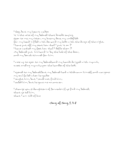I sleep, but my heart wakes: it is the voice of my beloved that knocks saying, Open to me, my sister, my love,my dove, my undefiled: for my head is filled with dew,and my locks with the drops of the night. I have put off my coat how shall I put it on? I have washed my feet how shall I defile them? My beloved put his hand in by the hole of the door, and my bowels stirred for him.

I rose up to open to my beloved;and my hands dripped with myrrh, sweet smelling myrrh,upon the handles of the lock.

I opened to my beloved;but my beloved had withdrawn himself, and was gone: my soul failed when he spake: I sought him, but I could not find him; I called him, but he gave me no answer.

I charge you, O daughters of Jerusalem,if ye find my beloved, that ye tell him, that I am sick of love

-Song of song,  $5, 2-8$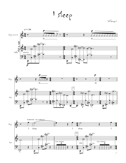1 sleep

 $V^{\prime}$ lnai





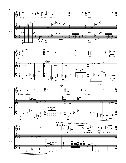





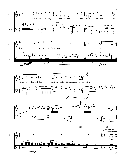







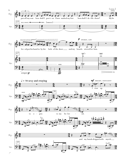







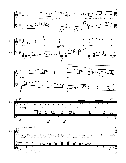